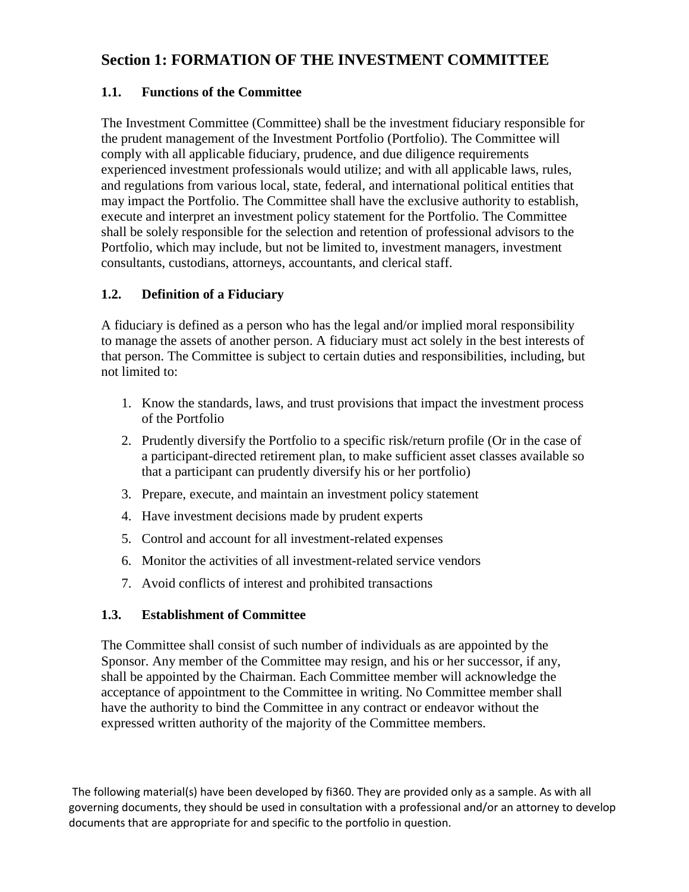# **Section 1: FORMATION OF THE INVESTMENT COMMITTEE**

## **1.1. Functions of the Committee**

The Investment Committee (Committee) shall be the investment fiduciary responsible for the prudent management of the Investment Portfolio (Portfolio). The Committee will comply with all applicable fiduciary, prudence, and due diligence requirements experienced investment professionals would utilize; and with all applicable laws, rules, and regulations from various local, state, federal, and international political entities that may impact the Portfolio. The Committee shall have the exclusive authority to establish, execute and interpret an investment policy statement for the Portfolio. The Committee shall be solely responsible for the selection and retention of professional advisors to the Portfolio, which may include, but not be limited to, investment managers, investment consultants, custodians, attorneys, accountants, and clerical staff.

## **1.2. Definition of a Fiduciary**

A fiduciary is defined as a person who has the legal and/or implied moral responsibility to manage the assets of another person. A fiduciary must act solely in the best interests of that person. The Committee is subject to certain duties and responsibilities, including, but not limited to:

- 1. Know the standards, laws, and trust provisions that impact the investment process of the Portfolio
- 2. Prudently diversify the Portfolio to a specific risk/return profile (Or in the case of a participant-directed retirement plan, to make sufficient asset classes available so that a participant can prudently diversify his or her portfolio)
- 3. Prepare, execute, and maintain an investment policy statement
- 4. Have investment decisions made by prudent experts
- 5. Control and account for all investment-related expenses
- 6. Monitor the activities of all investment-related service vendors
- 7. Avoid conflicts of interest and prohibited transactions

### **1.3. Establishment of Committee**

The Committee shall consist of such number of individuals as are appointed by the Sponsor. Any member of the Committee may resign, and his or her successor, if any, shall be appointed by the Chairman. Each Committee member will acknowledge the acceptance of appointment to the Committee in writing. No Committee member shall have the authority to bind the Committee in any contract or endeavor without the expressed written authority of the majority of the Committee members.

The following material(s) have been developed by fi360. They are provided only as a sample. As with all governing documents, they should be used in consultation with a professional and/or an attorney to develop documents that are appropriate for and specific to the portfolio in question.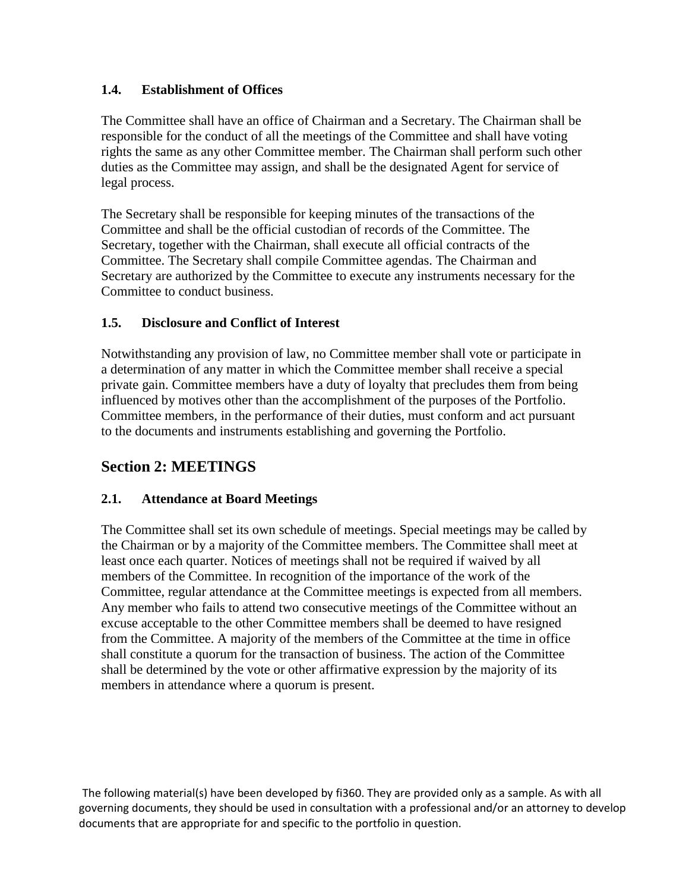## **1.4. Establishment of Offices**

The Committee shall have an office of Chairman and a Secretary. The Chairman shall be responsible for the conduct of all the meetings of the Committee and shall have voting rights the same as any other Committee member. The Chairman shall perform such other duties as the Committee may assign, and shall be the designated Agent for service of legal process.

The Secretary shall be responsible for keeping minutes of the transactions of the Committee and shall be the official custodian of records of the Committee. The Secretary, together with the Chairman, shall execute all official contracts of the Committee. The Secretary shall compile Committee agendas. The Chairman and Secretary are authorized by the Committee to execute any instruments necessary for the Committee to conduct business.

## **1.5. Disclosure and Conflict of Interest**

Notwithstanding any provision of law, no Committee member shall vote or participate in a determination of any matter in which the Committee member shall receive a special private gain. Committee members have a duty of loyalty that precludes them from being influenced by motives other than the accomplishment of the purposes of the Portfolio. Committee members, in the performance of their duties, must conform and act pursuant to the documents and instruments establishing and governing the Portfolio.

# **Section 2: MEETINGS**

### **2.1. Attendance at Board Meetings**

The Committee shall set its own schedule of meetings. Special meetings may be called by the Chairman or by a majority of the Committee members. The Committee shall meet at least once each quarter. Notices of meetings shall not be required if waived by all members of the Committee. In recognition of the importance of the work of the Committee, regular attendance at the Committee meetings is expected from all members. Any member who fails to attend two consecutive meetings of the Committee without an excuse acceptable to the other Committee members shall be deemed to have resigned from the Committee. A majority of the members of the Committee at the time in office shall constitute a quorum for the transaction of business. The action of the Committee shall be determined by the vote or other affirmative expression by the majority of its members in attendance where a quorum is present.

The following material(s) have been developed by fi360. They are provided only as a sample. As with all governing documents, they should be used in consultation with a professional and/or an attorney to develop documents that are appropriate for and specific to the portfolio in question.